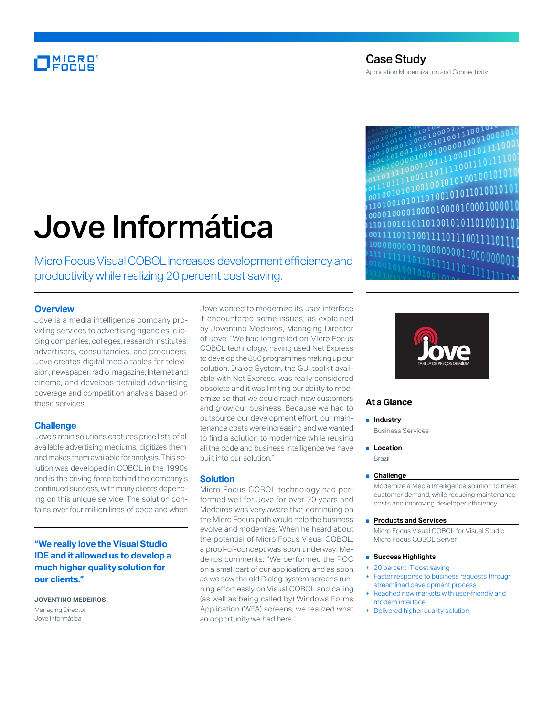# MICRO<br>Encus

# Jove Informática

Micro Focus Visual COBOL increases development efficiency and productivity while realizing 20 percent cost saving.

# **Overview**

Jove is a media intelligence company providing services to advertising agencies, clipping companies, colleges, research institutes, advertisers, consultancies, and producers. Jove creates digital media tables for television, newspaper, radio, magazine, Internet and cinema, and develops detailed advertising coverage and competition analysis based on these services.

# **Challenge**

Jove's main solutions captures price lists of all available advertising mediums, digitizes them, and makes them available for analysis. This solution was developed in COBOL in the 1990s and is the driving force behind the company's continued success, with many clients depending on this unique service. The solution contains over four million lines of code and when

**"We really love the Visual Studio IDE and it allowed us to develop a much higher quality solution for our clients."**

**JOVENTINO MEDEIROS** Managing Director Jove Informática

Jove wanted to modernize its user interface it encountered some issues, as explained by Joventino Medeiros, Managing Director of Jove: "We had long relied on Micro Focus COBOL technology, having used Net Express to develop the 850 programmes making up our solution. Dialog System, the GUI toolkit available with Net Express, was really considered obsolete and it was limiting our ability to modernize so that we could reach new customers and grow our business. Because we had to outsource our development effort, our maintenance costs were increasing and we wanted to find a solution to modernize while reusing all the code and business intelligence we have built into our solution."

### **Solution**

Micro Focus COBOL technology had performed well for Jove for over 20 years and Medeiros was very aware that continuing on the Micro Focus path would help the business evolve and modernize. When he heard about the potential of Micro Focus Visual COBOL, a proof-of-concept was soon underway. Medeiros comments: "We performed the POC on a small part of our application, and as soon as we saw the old Dialog system screens running effortlessly on Visual COBOL and calling (as well as being called by) Windows Forms Application (WFA) screens, we realized what an opportunity we had here."





# **At a Glance**

#### ■ **Industry**

Business Services

■ **Location** 

Brazil

# ■ **Challenge**

Modernize a Media Intelligence solution to meet customer demand, while reducing maintenance costs and improving developer efficiency.

#### ■ **Products and Services**

Micro Focus Visual COBOL for Visual Studio Micro Focus COBOL Server

#### ■ **Success Highlights**

- 20 percent IT cost saving
- Faster response to business requests through streamlined development process
- Reached new markets with user-friendly and modern interface
- Delivered higher quality solution